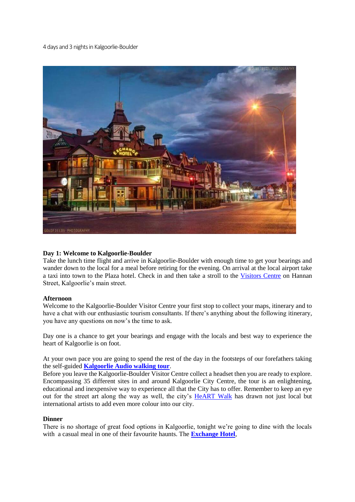4 days and 3 nights in Kalgoorlie-Boulder



#### **Day 1: Welcome to Kalgoorlie-Boulder**

Take the lunch time flight and arrive in Kalgoorlie-Boulder with enough time to get your bearings and wander down to the local for a meal before retiring for the evening. On arrival at the local airport take a taxi into town to the Plaza hotel. Check in and then take a stroll to the [Visitors Centre](https://www.kalgoorlietourism.com/) on Hannan Street, Kalgoorlie's main street.

#### **Afternoon**

Welcome to the Kalgoorlie-Boulder Visitor Centre your first stop to collect your maps, itinerary and to have a chat with our enthusiastic tourism consultants. If there's anything about the following itinerary, you have any questions on now's the time to ask.

Day one is a chance to get your bearings and engage with the locals and best way to experience the heart of Kalgoorlie is on foot.

At your own pace you are going to spend the rest of the day in the footsteps of our forefathers taking the self-guided **[Kalgoorlie Audio walking tour](https://www.kalgoorlietourism.com/kalgoorlie-boulder-audio-walking-tour)**.

Before you leave the Kalgoorlie-Boulder Visitor Centre collect a headset then you are ready to explore. Encompassing 35 different sites in and around Kalgoorlie City Centre, the tour is an enlightening, educational and inexpensive way to experience all that the City has to offer. Remember to keep an eye out for the street art along the way as well, the city's [HeART Walk](https://www.kalgoorlietourism.com/heartwalk) has drawn not just local but international artists to add even more colour into our city.

#### **Dinner**

There is no shortage of great food options in Kalgoorlie, tonight we're going to dine with the locals with a casual meal in one of their favourite haunts. The **[Exchange Hotel](https://www.kalgoorlietourism.com/exchange-hotel-paddys-eat-drink)**,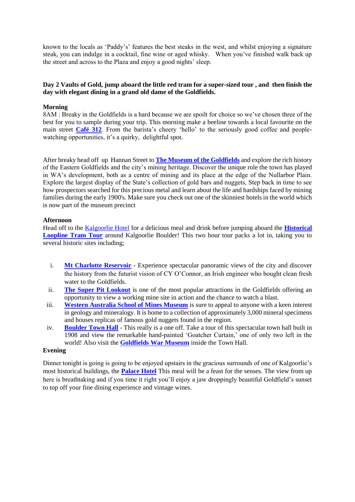known to the locals as 'Paddy's' features the best steaks in the west, and whilst enjoying a signature steak, you can indulge in a cocktail, fine wine or aged whisky. When you've finished walk back up the street and across to the Plaza and enjoy a good nights' sleep.

# **Day 2 Vaults of Gold, jump aboard the little red tram for a super-sized tour , and then finish the day with elegant dining in a grand old dame of the Goldfields.**

#### **Morning**

8AM : Breaky in the Goldfields is a hard because we are spoilt for choice so we've chosen three of the best for you to sample during your trip. This morning make a beeline towards a local favourite on the main street **[Café 312](https://www.kalgoorlietourism.com/cafe-312)**. From the barista's cheery 'hello' to the seriously good coffee and peoplewatching opportunities, it's a quirky, delightful spot.

After breaky head off up Hannan Street to **[The Museum of the Goldfields](https://www.kalgoorlietourism.com/museum-of-the-goldfields)** and explore the rich history of the Eastern Goldfields and the city's mining heritage. Discover the unique role the town has played in WA's development, both as a centre of mining and its place at the edge of the Nullarbor Plain. Explore the largest display of the State's collection of gold bars and nuggets, Step back in time to see how prospectors searched for this precious metal and learn about the life and hardships faced by mining families during the early 1900's. Make sure you check out one of the skinniest hotels in the world which is now part of the museum precinct

#### **Afternoon**

Head off to the [Kalgoorlie Hotel](https://www.kalgoorlietourism.com/kalgoorlie-hotel) for a delicious meal and drink before jumping aboard the **[Historical](https://www.kalgoorlietourism.com/kalgoorlie-boulder-tram)  [Loopline Tram Tour](https://www.kalgoorlietourism.com/kalgoorlie-boulder-tram)** around Kalgoorlie Boulder! This two hour tour packs a lot in, taking you to several historic sites including;

- i. **[Mt Charlotte Reservoir](https://www.kalgoorlietourism.com/mount-charlotte-reservoir-lookout)** Experience spectacular panoramic views of the city and discover the history from the futurist vision of CY O'Connor, an Irish engineer who bought clean fresh water to the Goldfields.
- ii. **[The Super Pit Lookout](https://www.kalgoorlietourism.com/super-pit-lookout)** is one of the most popular attractions in the Goldfields offering an opportunity to view a working mine site in action and the chance to watch a blast.
- iii. **[Western Australia School of Mines Museum](https://www.kalgoorlietourism.com/western-australian-school-of-mines-museum)** is sure to appeal to anyone with a keen interest in geology and mineralogy. It is home to a collection of approximately 3,000 mineral specimens and houses replicas of famous gold nuggets found in the region.
- iv. **[Boulder Town Hall](https://www.kalgoorlietourism.com/goatcher-curtain)** This really is a one off. Take a tour of this spectacular town hall built in 1908 and view the remarkable hand-painted 'Goatcher Curtain,' one of only two left in the world! Also visit the **[Goldfields War Museum](https://www.kalgoorlietourism.com/goldfields-war-museum)** inside the Town Hall.

#### **Evening**

Dinner tonight is going is going to be enjoyed upstairs in the gracious surrounds of one of Kalgoorlie's most historical buildings, the **[Palace Hotel](https://www.kalgoorlietourism.com/palace-hotel)** This meal will be a feast for the senses. The view from up here is breathtaking and if you time it right you'll enjoy a jaw droppingly beautiful Goldfield's sunset to top off your fine dining experience and vintage wines.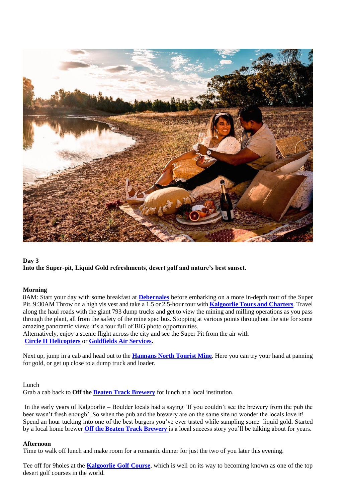

# **Day 3**

**Into the Super-pit, Liquid Gold refreshments, desert golf and nature's best sunset.**

# **Morning**

8AM: Start your day with some breakfast at **[Debernales](https://www.kalgoorlietourism.com/de-bernales)** before embarking on a more in-depth tour of the Super Pit. 9:30AM Throw on a high vis vest and take a 1.5 or 2.5-hour tour with **[Kalgoorlie Tours and Charters](https://www.kalgoorlietourism.com/super-pit-tour)**. Travel along the haul roads with the giant 793 dump trucks and get to view the mining and milling operations as you pass through the plant, all from the safety of the mine spec bus. Stopping at various points throughout the site for some amazing panoramic views it's a tour full of BIG photo opportunities.

Alternatively, enjoy a scenic flight across the city and see the Super Pit from the air with **[Circle H Helicopters](https://www.kalgoorlietourism.com/circle-h-helicopters)** or **[Goldfields Air Services.](https://www.kalgoorlietourism.com/goldfields-air-services-scenic-flights)**

Next up, jump in a cab and head out to the **[Hannans North Tourist Mine](https://www.kalgoorlietourism.com/hannans-north-tourist-mine)**. Here you can try your hand at panning for gold, or get up close to a dump truck and loader.

# Lunch

Grab a cab back to **Off the [Beaten Track Brewery](https://www.kalgoorlietourism.com/beaten-track-brewery)** for lunch at a local institution.

In the early years of Kalgoorlie – Boulder locals had a saying 'If you couldn't see the brewery from the pub the beer wasn't fresh enough'. So when the pub and the brewery are on the same site no wonder the locals love it! Spend an hour tucking into one of the best burgers you've ever tasted while sampling some liquid gold**.** Started by a local home brewer **Off the [Beaten Track Brewery](https://www.kalgoorlietourism.com/beaten-track-brewery)** is a local success story you'll be talking about for years.

# **Afternoon**

Time to walk off lunch and make room for a romantic dinner for just the two of you later this evening.

Tee off for 9holes at the **[Kalgoorlie Golf Course](https://www.kalgoorlietourism.com/kalgoorlie-golf-course)**, which is well on its way to becoming known as one of the top desert golf courses in the world.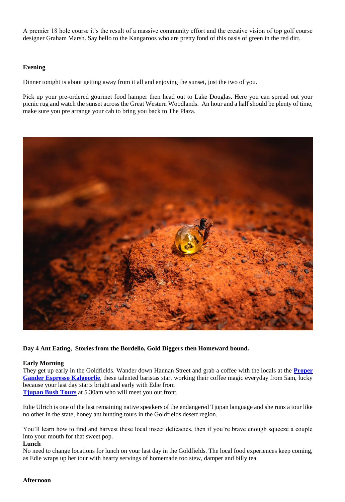A premier 18 hole course it's the result of a massive community effort and the creative vision of top golf course designer Graham Marsh. Say hello to the Kangaroos who are pretty fond of this oasis of green in the red dirt.

# **Evening**

Dinner tonight is about getting away from it all and enjoying the sunset, just the two of you.

Pick up your pre-ordered gourmet food hamper then head out to Lake Douglas. Here you can spread out your picnic rug and watch the sunset across the Great Western Woodlands. An hour and a half should be plenty of time, make sure you pre arrange your cab to bring you back to The Plaza.



# **Day 4 Ant Eating, Stories from the Bordello, Gold Diggers then Homeward bound.**

#### **Early Morning**

They get up early in the Goldfields. Wander down Hannan Street and grab a coffee with the locals at the **[Proper](https://www.kalgoorlietourism.com/the-proper-gander-espresso)  Gander [Espresso Kalgoorlie](https://www.kalgoorlietourism.com/the-proper-gander-espresso)**, these talented baristas start working their coffee magic everyday from 5am, lucky because your last day starts bright and early with Edie from

**[Tjupan Bush Tours](https://www.kalgoorlietourism.com/goldfields-honey-ant-tours)** at 5.30am who will meet you out front.

Edie Ulrich is one of the last remaining native speakers of the endangered Tjupan language and she runs a tour like no other in the state, honey ant hunting tours in the Goldfields desert region.

You'll learn how to find and harvest these local insect delicacies, then if you're brave enough squeeze a couple into your mouth for that sweet pop.

# **Lunch**

No need to change locations for lunch on your last day in the Goldfields. The local food experiences keep coming, as Edie wraps up her tour with hearty servings of homemade roo stew, damper and billy tea.